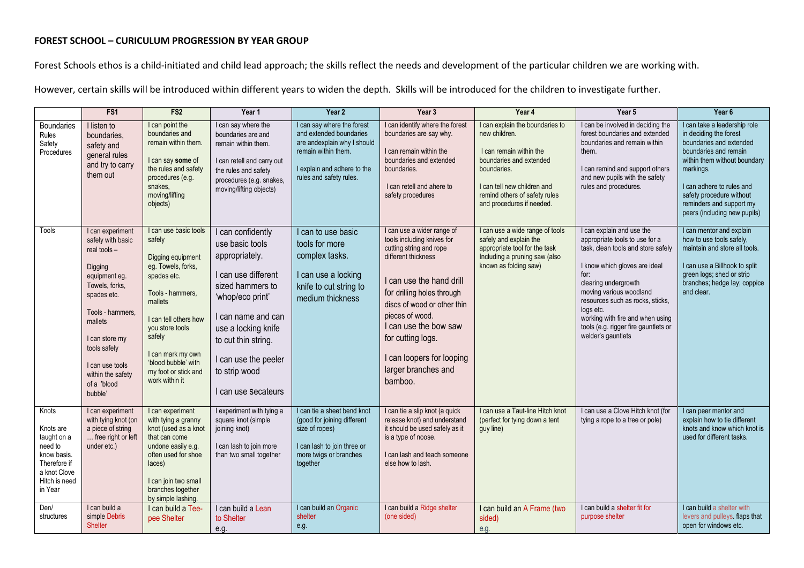## **FOREST SCHOOL – CURICULUM PROGRESSION BY YEAR GROUP**

Forest Schools ethos is a child-initiated and child lead approach; the skills reflect the needs and development of the particular children we are working with.

However, certain skills will be introduced within different years to widen the depth. Skills will be introduced for the children to investigate further.

|                                                                                                                                 | FS <sub>1</sub>                                                                                                                                                                                                                                       | FS <sub>2</sub>                                                                                                                                                                                                                                                      | Year 1                                                                                                                                                                                                                                                    | Year 2                                                                                                                                                                      | Year 3                                                                                                                                                                                                                                                                                                                              | Year 4                                                                                                                                                                                                             | Year 5                                                                                                                                                                                                                                                                                                                                           | Year <sub>6</sub>                                                                                                                                                                                                                                                            |
|---------------------------------------------------------------------------------------------------------------------------------|-------------------------------------------------------------------------------------------------------------------------------------------------------------------------------------------------------------------------------------------------------|----------------------------------------------------------------------------------------------------------------------------------------------------------------------------------------------------------------------------------------------------------------------|-----------------------------------------------------------------------------------------------------------------------------------------------------------------------------------------------------------------------------------------------------------|-----------------------------------------------------------------------------------------------------------------------------------------------------------------------------|-------------------------------------------------------------------------------------------------------------------------------------------------------------------------------------------------------------------------------------------------------------------------------------------------------------------------------------|--------------------------------------------------------------------------------------------------------------------------------------------------------------------------------------------------------------------|--------------------------------------------------------------------------------------------------------------------------------------------------------------------------------------------------------------------------------------------------------------------------------------------------------------------------------------------------|------------------------------------------------------------------------------------------------------------------------------------------------------------------------------------------------------------------------------------------------------------------------------|
| <b>Boundaries</b><br>Rules<br>Safety<br>Procedures                                                                              | I listen to<br>boundaries,<br>safety and<br>general rules<br>and try to carry<br>them out                                                                                                                                                             | I can point the<br>boundaries and<br>remain within them.<br>I can say some of<br>the rules and safety<br>procedures (e.g.<br>snakes,<br>moving/lifting<br>objects)                                                                                                   | I can say where the<br>boundaries are and<br>remain within them.<br>I can retell and carry out<br>the rules and safety<br>procedures (e.g. snakes,<br>moving/lifting objects)                                                                             | I can say where the forest<br>and extended boundaries<br>are andexplain why I should<br>remain within them.<br>I explain and adhere to the<br>rules and safety rules.       | I can identify where the forest<br>boundaries are say why.<br>I can remain within the<br>boundaries and extended<br>boundaries.<br>I can retell and ahere to<br>safety procedures                                                                                                                                                   | I can explain the boundaries to<br>new children.<br>I can remain within the<br>boundaries and extended<br>boundaries.<br>I can tell new children and<br>remind others of safety rules<br>and procedures if needed. | I can be involved in deciding the<br>forest boundaries and extended<br>boundaries and remain within<br>them.<br>I can remind and support others<br>and new pupils with the safety<br>rules and procedures.                                                                                                                                       | I can take a leadership role<br>in deciding the forest<br>boundaries and extended<br>boundaries and remain<br>within them without boundary<br>markings.<br>I can adhere to rules and<br>safety procedure without<br>reminders and support my<br>peers (including new pupils) |
| <b>Tools</b>                                                                                                                    | I can experiment<br>safely with basic<br>real tools -<br>Digging<br>equipment eg.<br>Towels, forks,<br>spades etc.<br>Tools - hammers.<br>mallets<br>I can store my<br>tools safely<br>I can use tools<br>within the safety<br>of a 'blood<br>bubble' | I can use basic tools<br>safely<br>Digging equipment<br>eg. Towels, forks,<br>spades etc.<br>Tools - hammers,<br>mallets<br>I can tell others how<br>you store tools<br>safely<br>I can mark my own<br>'blood bubble' with<br>my foot or stick and<br>work within it | I can confidently<br>use basic tools<br>appropriately.<br>I can use different<br>sized hammers to<br>'whop/eco print'<br>I can name and can<br>use a locking knife<br>to cut thin string.<br>I can use the peeler<br>to strip wood<br>I can use Secateurs | I can to use basic<br>tools for more<br>complex tasks.<br>I can use a locking<br>knife to cut string to<br>medium thickness                                                 | I can use a wider range of<br>tools including knives for<br>cutting string and rope<br>different thickness<br>I can use the hand drill<br>for drilling holes through<br>discs of wood or other thin<br>pieces of wood.<br>I can use the bow saw<br>for cutting logs.<br>I can loopers for looping<br>larger branches and<br>bamboo. | I can use a wide range of tools<br>safely and explain the<br>appropriate tool for the task<br>Including a pruning saw (also<br>known as folding saw)                                                               | I can explain and use the<br>appropriate tools to use for a<br>task, clean tools and store safely<br>I know which gloves are ideal<br>for:<br>clearing undergrowth<br>moving various woodland<br>resources such as rocks, sticks,<br>logs etc.<br>working with fire and when using<br>tools (e.g. rigger fire gauntlets or<br>welder's gauntlets | I can mentor and explain<br>how to use tools safely,<br>maintain and store all tools.<br>I can use a Billhook to split<br>green logs; shed or strip<br>branches; hedge lay; coppice<br>and clear.                                                                            |
| Knots<br>Knots are<br>taught on a<br>need to<br>know basis.<br>Therefore if<br>a knot Clove<br>Hitch is need<br>in Year<br>Den/ | I can experiment<br>with tying knot (on<br>a piece of string<br>free right or left<br>under etc.)<br>I can build a                                                                                                                                    | I can experiment<br>with tying a granny<br>knot (used as a knot<br>that can come<br>undone easily e.g.<br>often used for shoe<br>laces)<br>I can join two small<br>branches together<br>by simple lashing.<br>I can build a Tee-                                     | I experiment with tying a<br>square knot (simple<br>joining knot)<br>I can lash to join more<br>than two small together<br>I can build a Lean                                                                                                             | I can tie a sheet bend knot<br>(good for joining different<br>size of ropes)<br>I can lash to join three or<br>more twigs or branches<br>together<br>I can build an Organic | I can tie a slip knot (a quick<br>release knot) and understand<br>it should be used safely as it<br>is a type of noose.<br>I can lash and teach someone<br>else how to lash.<br>I can build a Ridge shelter                                                                                                                         | I can use a Taut-line Hitch knot<br>(perfect for tying down a tent<br>guy line)<br>I can build an A Frame (two                                                                                                     | I can use a Clove Hitch knot (for<br>tying a rope to a tree or pole)<br>I can build a shelter fit for                                                                                                                                                                                                                                            | I can peer mentor and<br>explain how to tie different<br>knots and know which knot is<br>used for different tasks.<br>I can build a shelter with                                                                                                                             |
| structures                                                                                                                      | simple Debris<br><b>Shelter</b>                                                                                                                                                                                                                       | pee Shelter                                                                                                                                                                                                                                                          | to Shelter<br>e.g.                                                                                                                                                                                                                                        | shelter<br>e.g.                                                                                                                                                             | (one sided)                                                                                                                                                                                                                                                                                                                         | sided)<br>e.g.                                                                                                                                                                                                     | purpose shelter                                                                                                                                                                                                                                                                                                                                  | levers and pulleys. flaps that<br>open for windows etc.                                                                                                                                                                                                                      |